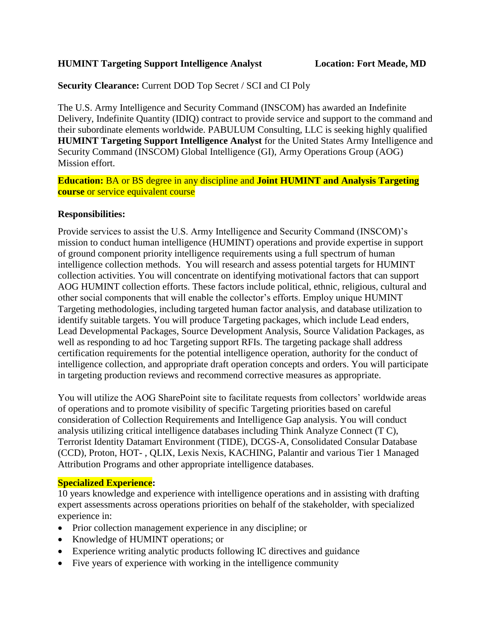## **HUMINT Targeting Support Intelligence Analyst Location: Fort Meade, MD**

## **Security Clearance:** Current DOD Top Secret / SCI and CI Poly

The U.S. Army Intelligence and Security Command (INSCOM) has awarded an Indefinite Delivery, Indefinite Quantity (IDIQ) contract to provide service and support to the command and their subordinate elements worldwide. PABULUM Consulting, LLC is seeking highly qualified **HUMINT Targeting Support Intelligence Analyst** for the United States Army Intelligence and Security Command (INSCOM) Global Intelligence (GI), Army Operations Group (AOG) Mission effort.

**Education:** BA or BS degree in any discipline and **Joint HUMINT and Analysis Targeting course** or service equivalent course

### **Responsibilities:**

Provide services to assist the U.S. Army Intelligence and Security Command (INSCOM)'s mission to conduct human intelligence (HUMINT) operations and provide expertise in support of ground component priority intelligence requirements using a full spectrum of human intelligence collection methods. You will research and assess potential targets for HUMINT collection activities. You will concentrate on identifying motivational factors that can support AOG HUMINT collection efforts. These factors include political, ethnic, religious, cultural and other social components that will enable the collector's efforts. Employ unique HUMINT Targeting methodologies, including targeted human factor analysis, and database utilization to identify suitable targets. You will produce Targeting packages, which include Lead enders, Lead Developmental Packages, Source Development Analysis, Source Validation Packages, as well as responding to ad hoc Targeting support RFIs. The targeting package shall address certification requirements for the potential intelligence operation, authority for the conduct of intelligence collection, and appropriate draft operation concepts and orders. You will participate in targeting production reviews and recommend corrective measures as appropriate.

You will utilize the AOG SharePoint site to facilitate requests from collectors' worldwide areas of operations and to promote visibility of specific Targeting priorities based on careful consideration of Collection Requirements and Intelligence Gap analysis. You will conduct analysis utilizing critical intelligence databases including Think Analyze Connect (T C), Terrorist Identity Datamart Environment (TIDE), DCGS-A, Consolidated Consular Database (CCD), Proton, HOT- , QLIX, Lexis Nexis, KACHING, Palantir and various Tier 1 Managed Attribution Programs and other appropriate intelligence databases.

## **Specialized Experience:**

10 years knowledge and experience with intelligence operations and in assisting with drafting expert assessments across operations priorities on behalf of the stakeholder, with specialized experience in:

- Prior collection management experience in any discipline; or
- Knowledge of HUMINT operations; or
- Experience writing analytic products following IC directives and guidance
- $\bullet$  Five years of experience with working in the intelligence community